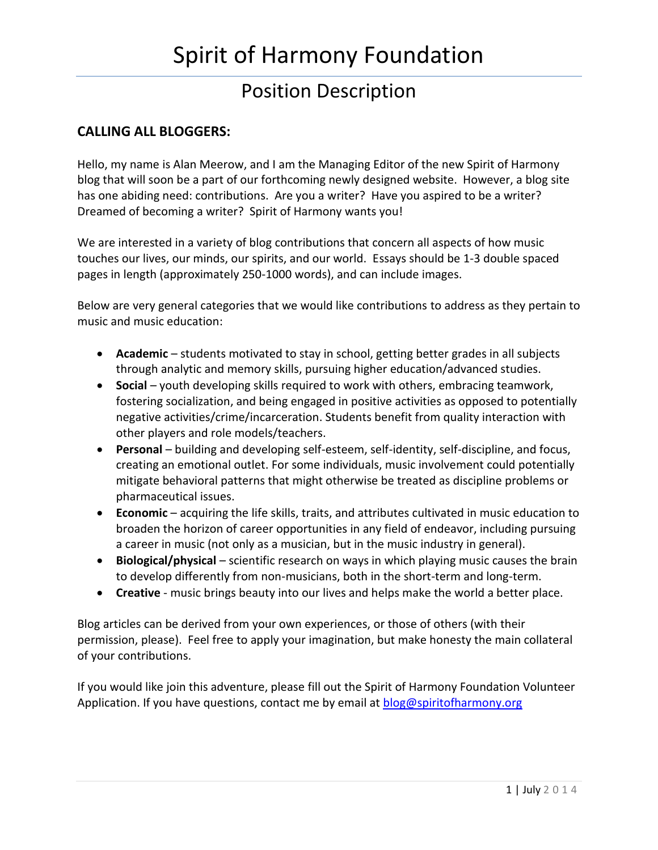# Spirit of Harmony Foundation

## Position Description

### **CALLING ALL BLOGGERS:**

Hello, my name is Alan Meerow, and I am the Managing Editor of the new Spirit of Harmony blog that will soon be a part of our forthcoming newly designed website. However, a blog site has one abiding need: contributions. Are you a writer? Have you aspired to be a writer? Dreamed of becoming a writer? Spirit of Harmony wants you!

We are interested in a variety of blog contributions that concern all aspects of how music touches our lives, our minds, our spirits, and our world. Essays should be 1-3 double spaced pages in length (approximately 250-1000 words), and can include images.

Below are very general categories that we would like contributions to address as they pertain to music and music education:

- **Academic** students motivated to stay in school, getting better grades in all subjects through analytic and memory skills, pursuing higher education/advanced studies.
- **Social** youth developing skills required to work with others, embracing teamwork, fostering socialization, and being engaged in positive activities as opposed to potentially negative activities/crime/incarceration. Students benefit from quality interaction with other players and role models/teachers.
- **Personal** building and developing self-esteem, self-identity, self-discipline, and focus, creating an emotional outlet. For some individuals, music involvement could potentially mitigate behavioral patterns that might otherwise be treated as discipline problems or pharmaceutical issues.
- **Economic** acquiring the life skills, traits, and attributes cultivated in music education to broaden the horizon of career opportunities in any field of endeavor, including pursuing a career in music (not only as a musician, but in the music industry in general).
- **Biological/physical** scientific research on ways in which playing music causes the brain to develop differently from non-musicians, both in the short-term and long-term.
- **Creative** music brings beauty into our lives and helps make the world a better place.

Blog articles can be derived from your own experiences, or those of others (with their permission, please). Feel free to apply your imagination, but make honesty the main collateral of your contributions.

If you would like join this adventure, please fill out the Spirit of Harmony Foundation Volunteer Application. If you have questions, contact me by email at [blog@spiritofharmony.org](mailto:blog@spiritofharmony.org)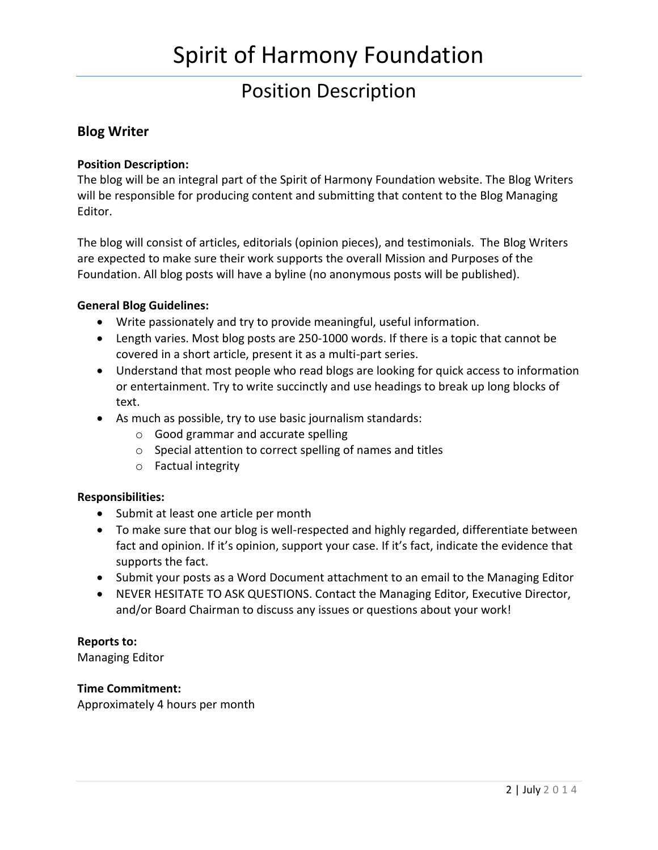# Spirit of Harmony Foundation

### Position Description

### **Blog Writer**

#### **Position Description:**

The blog will be an integral part of the Spirit of Harmony Foundation website. The Blog Writers will be responsible for producing content and submitting that content to the Blog Managing Editor.

The blog will consist of articles, editorials (opinion pieces), and testimonials. The Blog Writers are expected to make sure their work supports the overall Mission and Purposes of the Foundation. All blog posts will have a byline (no anonymous posts will be published).

#### **General Blog Guidelines:**

- Write passionately and try to provide meaningful, useful information.
- Length varies. Most blog posts are 250-1000 words. If there is a topic that cannot be covered in a short article, present it as a multi-part series.
- Understand that most people who read blogs are looking for quick access to information or entertainment. Try to write succinctly and use headings to break up long blocks of text.
- As much as possible, try to use basic journalism standards:
	- o Good grammar and accurate spelling
	- o Special attention to correct spelling of names and titles
	- o Factual integrity

#### **Responsibilities:**

- Submit at least one article per month
- To make sure that our blog is well-respected and highly regarded, differentiate between fact and opinion. If it's opinion, support your case. If it's fact, indicate the evidence that supports the fact.
- Submit your posts as a Word Document attachment to an email to the Managing Editor
- NEVER HESITATE TO ASK QUESTIONS. Contact the Managing Editor, Executive Director, and/or Board Chairman to discuss any issues or questions about your work!

#### **Reports to:**

Managing Editor

#### **Time Commitment:**

Approximately 4 hours per month